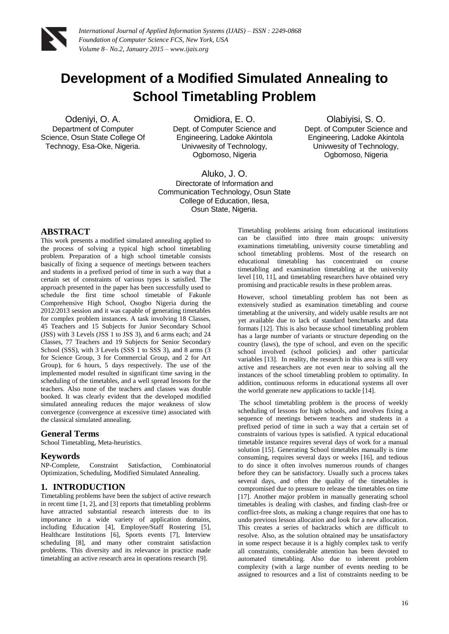

# **Development of a Modified Simulated Annealing to School Timetabling Problem**

Odeniyi, O. A. Department of Computer Science, Osun State College Of Technogy, Esa-Oke, Nigeria.

Omidiora, E. O. Dept. of Computer Science and Engineering, Ladoke Akintola Univwesity of Technology, Ogbomoso, Nigeria

Aluko, J. O. Directorate of Information and Communication Technology, Osun State College of Education, Ilesa, Osun State, Nigeria.

# **ABSTRACT**

This work presents a modified simulated annealing applied to the process of solving a typical high school timetabling problem. Preparation of a high school timetable consists basically of fixing a sequence of meetings between teachers and students in a prefixed period of time in such a way that a certain set of constraints of various types is satisfied. The approach presented in the paper has been successfully used to schedule the first time school timetable of Fakunle Comprehensive High School, Osogbo Nigeria during the 2012/2013 session and it was capable of generating timetables for complex problem instances. A task involving 18 Classes, 45 Teachers and 15 Subjects for Junior Secondary School (JSS) with 3 Levels (JSS 1 to JSS 3), and 6 arms each; and 24 Classes, 77 Teachers and 19 Subjects for Senior Secondary School (SSS), with 3 Levels (SSS 1 to SSS 3), and 8 arms (3 for Science Group, 3 for Commercial Group, and 2 for Art Group), for 6 hours, 5 days respectively. The use of the implemented model resulted in significant time saving in the scheduling of the timetables, and a well spread lessons for the teachers. Also none of the teachers and classes was double booked. It was clearly evident that the developed modified simulated annealing reduces the major weakness of slow convergence (convergence at excessive time) associated with the classical simulated annealing.

#### **General Terms**

School Timetabling, Meta-heuristics.

# **Keywords**

NP-Complete, Constraint Satisfaction, Combinatorial Optimization, Scheduling, Modified Simulated Annealing.

# **1. INTRODUCTION**

Timetabling problems have been the subject of active research in recent time [1, 2], and [3] reports that timetabling problems have attracted substantial research interests due to its importance in a wide variety of application domains, including Education [4], Employee/Staff Rostering [5], Healthcare Institutions [6], Sports events [7], Interview scheduling [8], and many other constraint satisfaction problems. This diversity and its relevance in practice made timetabling an active research area in operations research [9].

Timetabling problems arising from educational institutions can be classified into three main groups: university examinations timetabling, university course timetabling and school timetabling problems. Most of the research on educational timetabling has concentrated on course timetabling and examination timetabling at the university level [10, 11], and timetabling researchers have obtained very promising and practicable results in these problem areas.

Olabiyisi, S. O. Dept. of Computer Science and Engineering, Ladoke Akintola Univwesity of Technology, Ogbomoso, Nigeria

However, school timetabling problem has not been as extensively studied as examination timetabling and course timetabling at the university, and widely usable results are not yet available due to lack of standard benchmarks and data formats [12]. This is also because school timetabling problem has a large number of variants or structure depending on the country (laws), the type of school, and even on the specific school involved (school policies) and other particular variables [13]. In reality, the research in this area is still very active and researchers are not even near to solving all the instances of the school timetabling problem to optimality. In addition, continuous reforms in educational systems all over the world generate new applications to tackle [14].

The school timetabling problem is the process of weekly scheduling of lessons for high schools, and involves fixing a sequence of meetings between teachers and students in a prefixed period of time in such a way that a certain set of constraints of various types is satisfied. A typical educational timetable instance requires several days of work for a manual solution [15]. Generating School timetables manually is time consuming, requires several days or weeks [16], and tedious to do since it often involves numerous rounds of changes before they can be satisfactory. Usually such a process takes several days, and often the quality of the timetables is compromised due to pressure to release the timetables on time [17]. Another major problem in manually generating school timetables is dealing with clashes, and finding clash-free or conflict-free slots, as making a change requires that one has to undo previous lesson allocation and look for a new allocation. This creates a series of backtracks which are difficult to resolve. Also, as the solution obtained may be unsatisfactory in some respect because it is a highly complex task to verify all constraints, considerable attention has been devoted to automated timetabling. Also due to inherent problem complexity (with a large number of events needing to be assigned to resources and a list of constraints needing to be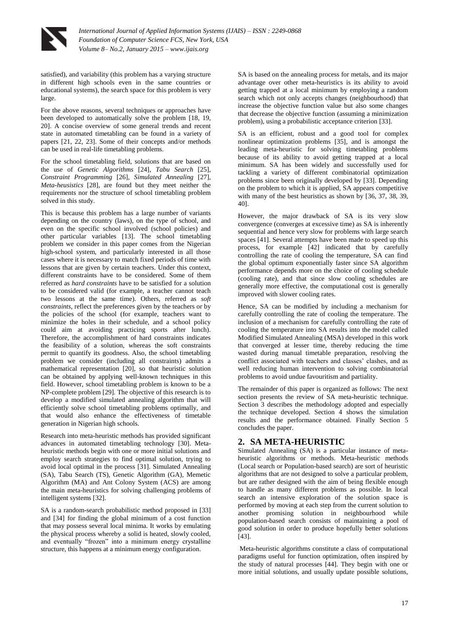

satisfied), and variability (this problem has a varying structure in different high schools even in the same countries or educational systems), the search space for this problem is very large.

For the above reasons, several techniques or approaches have been developed to automatically solve the problem [18, 19, 20]. A concise overview of some general trends and recent state in automated timetabling can be found in a variety of papers [21, 22, 23]. Some of their concepts and/or methods can be used in real-life timetabling problems.

For the school timetabling field, solutions that are based on the use of *Genetic Algorithms* [24], *Tabu Search* [25], *Constraint Programming* [26], *Simulated Annealing* [27], *Meta-heusistics* [28], are found but they meet neither the requirements nor the structure of school timetabling problem solved in this study.

This is because this problem has a large number of variants depending on the country (laws), on the type of school, and even on the specific school involved (school policies) and other particular variables [13]. The school timetabling problem we consider in this paper comes from the Nigerian high-school system, and particularly interested in all those cases where it is necessary to match fixed periods of time with lessons that are given by certain teachers. Under this context, different constraints have to be considered. Some of them referred as *hard constraints* have to be satisfied for a solution to be considered valid (for example, a teacher cannot teach two lessons at the same time). Others, referred as *soft constraints*, reflect the preferences given by the teachers or by the policies of the school (for example, teachers want to minimize the holes in their schedule, and a school policy could aim at avoiding practicing sports after lunch). Therefore, the accomplishment of hard constraints indicates the feasibility of a solution, whereas the soft constraints permit to quantify its goodness. Also, the school timetabling problem we consider (including all constraints) admits a mathematical representation [20], so that heuristic solution can be obtained by applying well-known techniques in this field. However, school timetabling problem is known to be a NP-complete problem [29]. The objective of this research is to develop a modified simulated annealing algorithm that will efficiently solve school timetabling problems optimally, and that would also enhance the effectiveness of timetable generation in Nigerian high schools.

Research into meta-heuristic methods has provided significant advances in automated timetabling technology [30]. Metaheuristic methods begin with one or more initial solutions and employ search strategies to find optimal solution, trying to avoid local optimal in the process [31]. Simulated Annealing (SA), Tabu Search (TS), Genetic Algorithm (GA), Memetic Algorithm (MA) and Ant Colony System (ACS) are among the main meta-heuristics for solving challenging problems of intelligent systems [32].

SA is a random-search probabilistic method proposed in [33] and [34] for finding the global minimum of a cost function that may possess several local minima. It works by emulating the physical process whereby a solid is heated, slowly cooled, and eventually "frozen" into a minimum energy crystalline structure, this happens at a minimum energy configuration.

SA is based on the annealing process for metals, and its major advantage over other meta-heuristics is its ability to avoid getting trapped at a local minimum by employing a random search which not only accepts changes (neighbourhood) that increase the objective function value but also some changes that decrease the objective function (assuming a minimization problem), using a probabilistic acceptance criterion [33].

SA is an efficient, robust and a good tool for complex nonlinear optimization problems [35], and is amongst the leading meta-heuristic for solving timetabling problems because of its ability to avoid getting trapped at a local minimum. SA has been widely and successfully used for tackling a variety of different combinatorial optimization problems since been originally developed by [33]. Depending on the problem to which it is applied, SA appears competitive with many of the best heuristics as shown by [36, 37, 38, 39, 40].

However, the major drawback of SA is its very slow convergence (converges at excessive time) as SA is inherently sequential and hence very slow for problems with large search spaces [41]. Several attempts have been made to speed up this process, for example [42] indicated that by carefully controlling the rate of cooling the temperature, SA can find the global optimum exponentially faster since SA algorithm performance depends more on the choice of cooling schedule (cooling rate), and that since slow cooling schedules are generally more effective, the computational cost is generally improved with slower cooling rates.

Hence, SA can be modified by including a mechanism for carefully controlling the rate of cooling the temperature. The inclusion of a mechanism for carefully controlling the rate of cooling the temperature into SA results into the model called Modified Simulated Annealing (MSA) developed in this work that converged at lesser time, thereby reducing the time wasted during manual timetable preparation, resolving the conflict associated with teachers and classes' clashes, and as well reducing human intervention to solving combinatorial problems to avoid undue favouritism and partiality.

The remainder of this paper is organized as follows: The next section presents the review of SA meta-heuristic technique. Section 3 describes the methodology adopted and especially the technique developed. Section 4 shows the simulation results and the performance obtained. Finally Section 5 concludes the paper.

# **2. SA META-HEURISTIC**

Simulated Annealing (SA) is a particular instance of metaheuristic algorithms or methods. Meta-heuristic methods (Local search or Population-based search) are sort of heuristic algorithms that are not designed to solve a particular problem, but are rather designed with the aim of being flexible enough to handle as many different problems as possible. In local search an intensive exploration of the solution space is performed by moving at each step from the current solution to another promising solution in neighbourhood while population-based search consists of maintaining a pool of good solution in order to produce hopefully better solutions [43].

Meta-heuristic algorithms constitute a class of computational paradigms useful for function optimization, often inspired by the study of natural processes [44]. They begin with one or more initial solutions, and usually update possible solutions,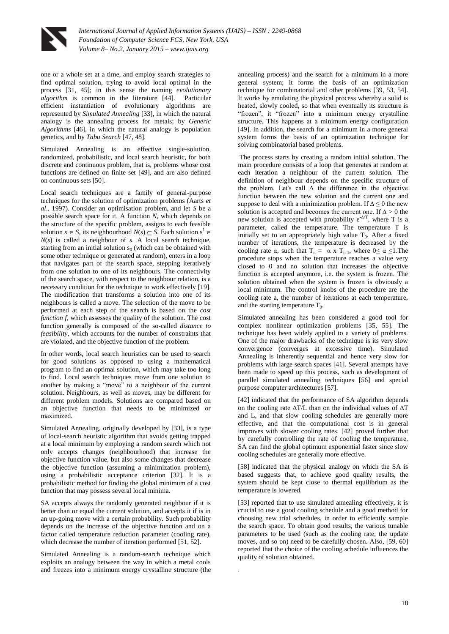

one or a whole set at a time, and employ search strategies to find optimal solution, trying to avoid local optimal in the process [31, 45]; in this sense the naming *evolutionary algorithm* is common in the literature [44]. Particular efficient instantiation of evolutionary algorithms are represented by *Simulated Annealing* [33], in which the natural analogy is the annealing process for metals; by *Generic Algorithms* [46], in which the natural analogy is population genetics, and by *Tabu Search* [47, 48].

Simulated Annealing is an effective single-solution, randomized, probabilistic, and local search heuristic, for both discrete and continuous problem, that is, problems whose cost functions are defined on finite set [49], and are also defined on continuous sets [50].

Local search techniques are a family of general-purpose techniques for the solution of optimization problems (Aarts *et al*., 1997). Consider an optimisation problem, and let *S* be a possible search space for it. A function *N*, which depends on the structure of the specific problem, assigns to each feasible solution  $s \in S$ , its neighbourhood  $N(s) \subseteq S$ . Each solution  $s^1 \in$ *N*(*s*) is called a neighbour of *s*. A local search technique, starting from an initial solution  $s_0$  (which can be obtained with some other technique or generated at random), enters in a loop that navigates part of the search space, stepping iteratively from one solution to one of its neighbours. The connectivity of the search space, with respect to the neighbour relation, is a necessary condition for the technique to work effectively [19]. The modification that transforms a solution into one of its neighbours is called a move. The selection of the move to be performed at each step of the search is based on the *cost function f*, which assesses the quality of the solution. The cost function generally is composed of the so-called *distance to feasibility*, which accounts for the number of constraints that are violated, and the objective function of the problem.

In other words, local search heuristics can be used to search for good solutions as opposed to using a mathematical program to find an optimal solution, which may take too long to find. Local search techniques move from one solution to another by making a "move" to a neighbour of the current solution. Neighbours, as well as moves, may be different for different problem models. Solutions are compared based on an objective function that needs to be minimized or maximized.

Simulated Annealing, originally developed by [33], is a type of local-search heuristic algorithm that avoids getting trapped at a local minimum by employing a random search which not only accepts changes (neighbourhood) that increase the objective function value, but also some changes that decrease the objective function (assuming a minimization problem), using a probabilistic acceptance criterion [32]. It is a probabilistic method for finding the global minimum of a cost function that may possess several local minima.

SA accepts always the randomly generated neighbour if it is better than or equal the current solution, and accepts it if is in an up-going move with a certain probability. Such probability depends on the increase of the objective function and on a factor called temperature reduction parameter (cooling rate), which decrease the number of iteration performed [51, 52].

Simulated Annealing is a random-search technique which exploits an analogy between the way in which a metal cools and freezes into a minimum energy crystalline structure (the annealing process) and the search for a minimum in a more general system; it forms the basis of an optimization technique for combinatorial and other problems [39, 53, 54]. It works by emulating the physical process whereby a solid is heated, slowly cooled, so that when eventually its structure is "frozen", it "frozen" into a minimum energy crystalline structure. This happens at a minimum energy configuration [49]. In addition, the search for a minimum in a more general system forms the basis of an optimization technique for solving combinatorial based problems.

The process starts by creating a random initial solution. The main procedure consists of a loop that generates at random at each iteration a neighbour of the current solution. The definition of neighbour depends on the specific structure of the problem. Let's call ∆ the difference in the objective function between the new solution and the current one and suppose to deal with a minimization problem. If  $\Delta \leq 0$  the new solution is accepted and becomes the current one. If  $\Delta > 0$  the new solution is accepted with probability  $e^{A/T}$ , where T is a parameter, called the temperature. The temperature T is initially set to an appropriately high value  $T_0$ . After a fixed number of iterations, the temperature is decreased by the cooling rate  $\alpha$ , such that  $T_n = \alpha \times T_{n-1}$ , where  $0 \le \alpha \le 1$ . The procedure stops when the temperature reaches a value very closed to 0 and no solution that increases the objective function is accepted anymore, i.e. the system is frozen. The solution obtained when the system is frozen is obviously a local minimum. The control knobs of the procedure are the cooling rate a, the number of iterations at each temperature, and the starting temperature  $T_0$ .

Simulated annealing has been considered a good tool for complex nonlinear optimization problems [35, 55]. The technique has been widely applied to a variety of problems. One of the major drawbacks of the technique is its very slow convergence (converges at excessive time). Simulated Annealing is inherently sequential and hence very slow for problems with large search spaces [41]. Several attempts have been made to speed up this process, such as development of parallel simulated annealing techniques [56] and special purpose computer architectures [57].

[42] indicated that the performance of SA algorithm depends on the cooling rate ∆T/L than on the individual values of ∆T and L, and that slow cooling schedules are generally more effective, and that the computational cost is in general improves with slower cooling rates. [42] proved further that by carefully controlling the rate of cooling the temperature, SA can find the global optimum exponential faster since slow cooling schedules are generally more effective.

[58] indicated that the physical analogy on which the SA is based suggests that, to achieve good quality results, the system should be kept close to thermal equilibrium as the temperature is lowered.

[53] reported that to use simulated annealing effectively, it is crucial to use a good cooling schedule and a good method for choosing new trial schedules, in order to efficiently sample the search space. To obtain good results, the various tunable parameters to be used (such as the cooling rate, the update moves, and so on) need to be carefully chosen. Also, [59, 60] reported that the choice of the cooling schedule influences the quality of solution obtained.

.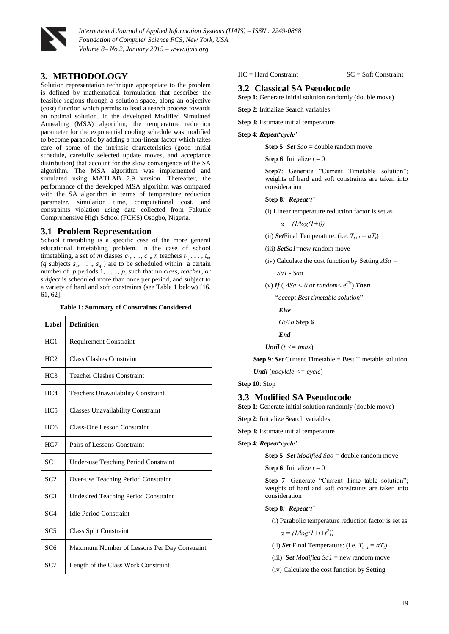

# **3. METHODOLOGY**

Solution representation technique appropriate to the problem is defined by mathematical formulation that describes the feasible regions through a solution space, along an objective (cost) function which permits to lead a search process towards an optimal solution. In the developed Modified Simulated Annealing (MSA) algorithm, the temperature reduction parameter for the exponential cooling schedule was modified to become parabolic by adding a non-linear factor which takes care of some of the intrinsic characteristics (good initial schedule, carefully selected update moves, and acceptance distribution) that account for the slow convergence of the SA algorithm. The MSA algorithm was implemented and simulated using MATLAB 7.9 version. Thereafter, the performance of the developed MSA algorithm was compared with the SA algorithm in terms of temperature reduction parameter, simulation time, computational cost, and constraints violation using data collected from Fakunle Comprehensive High School (FCHS) Osogbo, Nigeria.

# **3.1 Problem Representation**

School timetabling is a specific case of the more general educational timetabling problem. In the case of school timetabling, a set of *m* classes  $c_1$ , ...,  $c_m$ , *n* teachers  $t_1$ , ...,  $t_n$ , (*q* subjects  $s_1, \ldots, s_q$ ) are to be scheduled within a certain number of *p* periods 1, . . . , *p,* such that no *class, teacher, or subject* is scheduled more than once per period, and subject to a variety of hard and soft constraints (see Table 1 below) [16, 61, 62].

**Table 1: Summary of Constraints Considered**

| Label           | <b>Definition</b>                            |
|-----------------|----------------------------------------------|
| HC1             | <b>Requirement Constraint</b>                |
| HC <sub>2</sub> | <b>Class Clashes Constraint</b>              |
| HC <sub>3</sub> | <b>Teacher Clashes Constraint</b>            |
| HC <sub>4</sub> | <b>Teachers Unavailability Constraint</b>    |
| HC <sub>5</sub> | <b>Classes Unavailability Constraint</b>     |
| HC <sub>6</sub> | Class-One Lesson Constraint                  |
| HC7             | Pairs of Lessons Constraint                  |
| SC1             | <b>Under-use Teaching Period Constraint</b>  |
| SC2             | Over-use Teaching Period Constraint          |
| SC3             | <b>Undesired Teaching Period Constraint</b>  |
| SC <sub>4</sub> | <b>Idle Period Constraint</b>                |
| SC <sub>5</sub> | Class Split Constraint                       |
| SC6             | Maximum Number of Lessons Per Day Constraint |
| SC7             | Length of the Class Work Constraint          |

 $HC = Hard Constant$   $SC = Soft Constant$ 

# **3.2 Classical SA Pseudocode**

**Step 1**: Generate initial solution randomly (double move)

**Step 2**: Initialize Search variables

**Step 3**: Estimate initial temperature

**Step 4**: *Repeat***'***cycle'*

**Step 5**: *Set Sao* = double random move

**Step 6**: Initialize  $t = 0$ 

**Step7:** Generate "Current Timetable solution": weights of hard and soft constraints are taken into consideration

#### **Step 8***: Repeat***'***t'*

(i) Linear temperature reduction factor is set as

 $a = (1/\log(1+t))$ 

(ii) *Set*Final Temperature: (i.e.  $T_{t+1} = \alpha T_t$ )

(iii) *SetSa1*=new random move

(iv) Calculate the cost function by Setting *ΔSa =* 

 *Sa1 - Sao*

(v) If ( $\triangle Sa \leq 0$  or *random* $\leq e^{Tt}$ ) Then

"*accept Best timetable solution*"

 *Else*

 *GoTo* **Step 6**

 *End*

*Until* (*t <= tmax*)

 **Step 9**: *Set* Current Timetable = Best Timetable solution

 *Until* (*nocylcle <= cycle*)

**Step 10**: Stop

# **3.3 Modified SA Pseudocode**

**Step 1**: Generate initial solution randomly (double move)

- **Step 2**: Initialize Search variables
- **Step 3**: Estimate initial temperature
- **Step 4**: *Repeat***'***cycle'*

**Step 5**: *Set Modified Sao* = double random move

**Step 6**: Initialize  $t = 0$ 

**Step 7**: Generate "Current Time table solution"; weights of hard and soft constraints are taken into consideration

#### **Step 8***: Repeat***'***t'*

(i) Parabolic temperature reduction factor is set as

 $\alpha = (1/\log(1+t+t^2))$ 

- (ii) *Set* Final Temperature: (i.e.  $T_{t+1} = \alpha T_t$ )
- (iii) *Set Modified Sa1* = new random move
- (iv) Calculate the cost function by Setting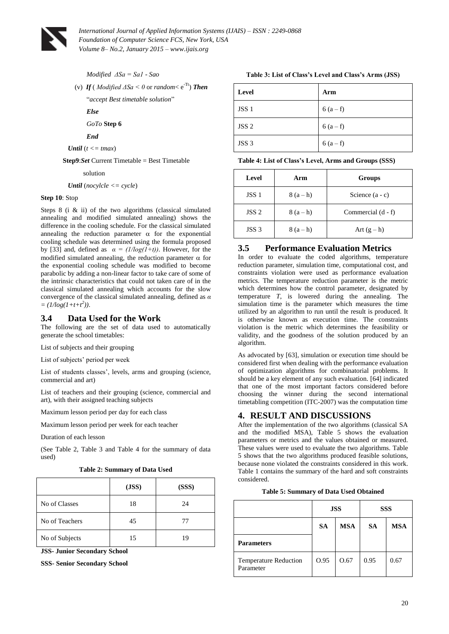

 *Modified ΔSa = Sa1 - Sao*

(v) *If* (*Modified*  $\Delta Sa < 0$  *or random* $\lt e^{Tt}$ ) *Then* 

"*accept Best timetable solution*"

 *Else*

 *GoTo* **Step 6**

 *End*

*Until* (*t <= tmax*)

 **Step9**:*Set* Current Timetable = Best Timetable

solution

*Until* (*nocylcle <= cycle*)

#### **Step 10**: Stop

Steps 8 (i & ii) of the two algorithms (classical simulated annealing and modified simulated annealing) shows the difference in the cooling schedule. For the classical simulated annealing the reduction parameter  $\alpha$  for the exponential cooling schedule was determined using the formula proposed by [33] and, defined as  $\alpha = (1/log(1+t))$ . However, for the modified simulated annealing, the reduction parameter  $\alpha$  for the exponential cooling schedule was modified to become parabolic by adding a non-linear factor to take care of some of the intrinsic characteristics that could not taken care of in the classical simulated annealing which accounts for the slow convergence of the classical simulated annealing, defined as *α*   $= (1/\log(1+t+t^2)).$ 

#### **3.4 Data Used for the Work**

The following are the set of data used to automatically generate the school timetables:

List of subjects and their grouping

List of subjects' period per week

List of students classes', levels, arms and grouping (science, commercial and art)

List of teachers and their grouping (science, commercial and art), with their assigned teaching subjects

Maximum lesson period per day for each class

Maximum lesson period per week for each teacher

Duration of each lesson

(See Table 2, Table 3 and Table 4 for the summary of data used)

|                | (JSS) | (SSS) |
|----------------|-------|-------|
| No of Classes  | 18    | 24    |
| No of Teachers | 45    | 77    |
| No of Subjects | 15    | 19    |

**Table 2: Summary of Data Used**

**JSS- Junior Secondary School**

**SSS- Senior Secondary School**

**Table 3: List of Class's Level and Class's Arms (JSS)**

| Level            | Arm        |
|------------------|------------|
| JSS <sub>1</sub> | $6(a-f)$   |
| JSS <sub>2</sub> | $6(a - f)$ |
| JSS <sub>3</sub> | $6(a - f)$ |

| Level            | Arm      | Groups               |
|------------------|----------|----------------------|
| JSS 1            | $8(a-h)$ | Science $(a - c)$    |
| ISS <sub>2</sub> | $8(a-h)$ | Commercial $(d - f)$ |
| JSS 3            | $8(a-h)$ | Art $(g - h)$        |

#### **3.5 Performance Evaluation Metrics**

In order to evaluate the coded algorithms, temperature reduction parameter, simulation time, computational cost, and constraints violation were used as performance evaluation metrics. The temperature reduction parameter is the metric which determines how the control parameter, designated by temperature *T*, is lowered during the annealing. The simulation time is the parameter which measures the time utilized by an algorithm to run until the result is produced. It is otherwise known as execution time. The constraints violation is the metric which determines the feasibility or validity, and the goodness of the solution produced by an algorithm.

As advocated by [63], simulation or execution time should be considered first when dealing with the performance evaluation of optimization algorithms for combinatorial problems. It should be a key element of any such evaluation. [64] indicated that one of the most important factors considered before choosing the winner during the second international timetabling competition (ITC-2007) was the computation time

#### **4. RESULT AND DISCUSSIONS**

After the implementation of the two algorithms (classical SA and the modified MSA), Table 5 shows the evaluation parameters or metrics and the values obtained or measured. These values were used to evaluate the two algorithms. Table 5 shows that the two algorithms produced feasible solutions, because none violated the constraints considered in this work. Table 1 contains the summary of the hard and soft constraints considered.

| <b>Table 5: Summary of Data Used Obtained</b> |  |  |  |
|-----------------------------------------------|--|--|--|
|-----------------------------------------------|--|--|--|

|                                           | <b>JSS</b> |            | <b>SSS</b> |            |
|-------------------------------------------|------------|------------|------------|------------|
|                                           | <b>SA</b>  | <b>MSA</b> | <b>SA</b>  | <b>MSA</b> |
| <b>Parameters</b>                         |            |            |            |            |
| <b>Temperature Reduction</b><br>Parameter | O.95       | O.67       | 0.95       | 0.67       |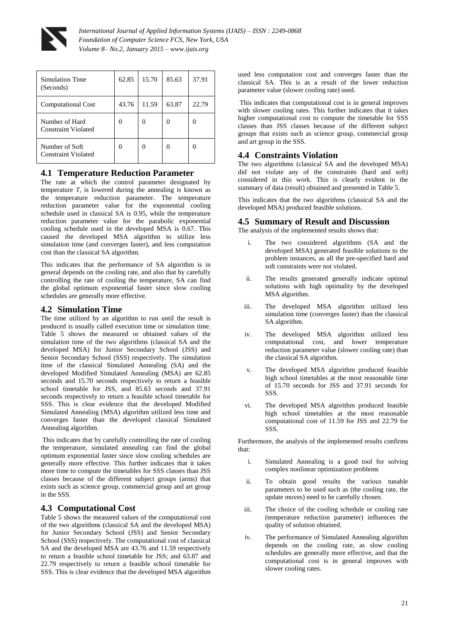

| Simulation Time<br>(Seconds)                 | 62.85 | 15.70 | 85.63 | 37.91 |
|----------------------------------------------|-------|-------|-------|-------|
| Computational Cost                           | 43.76 | 11.59 | 63.87 | 22.79 |
| Number of Hard<br><b>Constraint Violated</b> |       | 0     |       |       |
| Number of Soft<br>Constraint Violated        |       |       |       |       |

# **4.1 Temperature Reduction Parameter**

The rate at which the control parameter designated by temperature *T,* is lowered during the annealing is known as the temperature reduction parameter. The temperature reduction parameter value for the exponential cooling schedule used in classical SA is 0.95, while the temperature reduction parameter value for the parabolic exponential cooling schedule used in the developed MSA is 0.67. This caused the developed MSA algorithm to utilize less simulation time (and converges faster), and less computation cost than the classical SA algorithm.

This indicates that the performance of SA algorithm is in general depends on the cooling rate, and also that by carefully controlling the rate of cooling the temperature, SA can find the global optimum exponential faster since slow cooling schedules are generally more effective.

# **4.2 Simulation Time**

The time utilized by an algorithm to run until the result is produced is usually called execution time or simulation time. Table 5 shows the measured or obtained values of the simulation time of the two algorithms (classical SA and the developed MSA) for Junior Secondary School (JSS) and Senior Secondary School (SSS) respectively. The simulation time of the classical Simulated Annealing (SA) and the developed Modified Simulated Annealing (MSA) are 62.85 seconds and 15.70 seconds respectively to return a feasible school timetable for JSS, and 85.63 seconds and 37.91 seconds respectively to return a feasible school timetable for SSS. This is clear evidence that the developed Modified Simulated Annealing (MSA) algorithm utilized less time and converges faster than the developed classical Simulated Annealing algorithm.

This indicates that by carefully controlling the rate of cooling the temperature, simulated annealing can find the global optimum exponential faster since slow cooling schedules are generally more effective. This further indicates that it takes more time to compute the timetables for SSS classes than JSS classes because of the different subject groups (arms) that exists such as science group, commercial group and art group in the SSS.

# **4.3 Computational Cost**

Table 5 shows the measured values of the computational cost of the two algorithms (classical SA and the developed MSA) for Junior Secondary School (JSS) and Senior Secondary School (SSS) respectively. The computational cost of classical SA and the developed MSA are 43.76 and 11.59 respectively to return a feasible school timetable for JSS; and 63.87 and 22.79 respectively to return a feasible school timetable for SSS. This is clear evidence that the developed MSA algorithm

used less computation cost and converges faster than the classical SA. This is as a result of the lower reduction parameter value (slower cooling rate) used.

This indicates that computational cost is in general improves with slower cooling rates. This further indicates that it takes higher computational cost to compute the timetable for SSS classes than JSS classes because of the different subject groups that exists such as science group, commercial group and art group in the SSS.

# **4.4 Constraints Violation**

The two algorithms (classical SA and the developed MSA) did not violate any of the constraints (hard and soft) considered in this work. This is clearly evident in the summary of data (result) obtained and presented in Table 5.

This indicates that the two algorithms (classical SA and the developed MSA) produced feasible solutions.

# **4.5 Summary of Result and Discussion**

The analysis of the implemented results shows that:

- i. The two considered algorithms (SA and the developed MSA) generated feasible solutions to the problem instances, as all the pre-specified hard and soft constraints were not violated.
- ii. The results generated generally indicate optimal solutions with high optimality by the developed MSA algorithm.
- iii. The developed MSA algorithm utilized less simulation time (converges faster) than the classical SA algorithm.
- iv. The developed MSA algorithm utilized less computational cost, and lower temperature reduction parameter value (slower cooling rate) than the classical SA algorithm.
- v. The developed MSA algorithm produced feasible high school timetables at the most reasonable time of 15.70 seconds for JSS and 37.91 seconds for SSS.
- vi. The developed MSA algorithm produced feasible high school timetables at the most reasonable computational cost of 11.59 for JSS and 22.79 for SSS.

Furthermore, the analysis of the implemented results confirms that:

- i. Simulated Annealing is a good tool for solving complex nonlinear optimization problems
- ii. To obtain good results the various tunable parameters to be used such as (the cooling rate, the update moves) need to be carefully chosen.
- iii. The choice of the cooling schedule or cooling rate (temperature reduction parameter) influences the quality of solution obtained.
- iv. The performance of Simulated Annealing algorithm depends on the cooling rate, as slow cooling schedules are generally more effective, and that the computational cost is in general improves with slower cooling rates.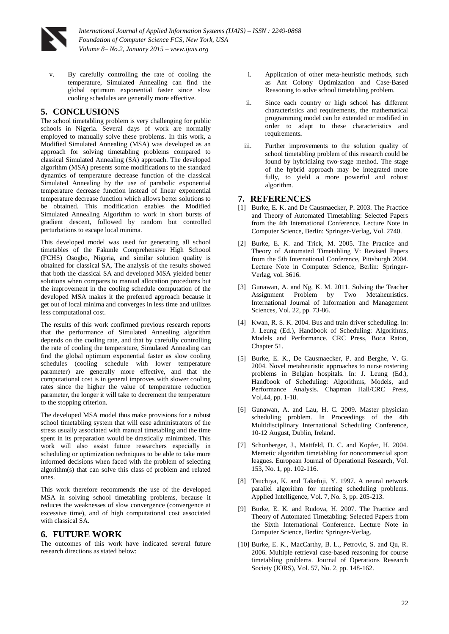

v. By carefully controlling the rate of cooling the temperature, Simulated Annealing can find the global optimum exponential faster since slow cooling schedules are generally more effective.

# **5. CONCLUSIONS**

The school timetabling problem is very challenging for public schools in Nigeria. Several days of work are normally employed to manually solve these problems. In this work, a Modified Simulated Annealing (MSA) was developed as an approach for solving timetabling problems compared to classical Simulated Annealing (SA) approach. The developed algorithm (MSA) presents some modifications to the standard dynamics of temperature decrease function of the classical Simulated Annealing by the use of parabolic exponential temperature decrease function instead of linear exponential temperature decrease function which allows better solutions to be obtained. This modification enables the Modified Simulated Annealing Algorithm to work in short bursts of gradient descent, followed by random but controlled perturbations to escape local minima.

This developed model was used for generating all school timetables of the Fakunle Comprehensive High Schoool (FCHS) Osogbo, Nigeria, and similar solution quality is obtained for classical SA, The analysis of the results showed that both the classical SA and developed MSA yielded better solutions when compares to manual allocation procedures but the improvement in the cooling schedule computation of the developed MSA makes it the preferred approach because it get out of local minima and converges in less time and utilizes less computational cost.

The results of this work confirmed previous research reports that the performance of Simulated Annealing algorithm depends on the cooling rate, and that by carefully controlling the rate of cooling the temperature, Simulated Annealing can find the global optimum exponential faster as slow cooling schedules (cooling schedule with lower temperature parameter) are generally more effective, and that the computational cost is in general improves with slower cooling rates since the higher the value of temperature reduction parameter, the longer it will take to decrement the temperature to the stopping criterion.

The developed MSA model thus make provisions for a robust school timetabling system that will ease administrators of the stress usually associated with manual timetabling and the time spent in its preparation would be drastically minimized. This work will also assist future researchers especially in scheduling or optimization techniques to be able to take more informed decisions when faced with the problem of selecting algorithm(s) that can solve this class of problem and related ones.

This work therefore recommends the use of the developed MSA in solving school timetabling problems, because it reduces the weaknesses of slow convergence (convergence at excessive time), and of high computational cost associated with classical SA.

# **6. FUTURE WORK**

The outcomes of this work have indicated several future research directions as stated below:

- i. Application of other meta-heuristic methods, such as Ant Colony Optimization and Case-Based Reasoning to solve school timetabling problem.
- ii. Since each country or high school has different characteristics and requirements, the mathematical programming model can be extended or modified in order to adapt to these characteristics and requirements*.*
- iii. Further improvements to the solution quality of school timetabling problem of this research could be found by hybridizing two-stage method. The stage of the hybrid approach may be integrated more fully, to yield a more powerful and robust algorithm.

#### **7. REFERENCES**

- [1] Burke, E. K. and De Causmaecker, P. 2003. The Practice and Theory of Automated Timetabling: Selected Papers from the 4th International Conference. Lecture Note in Computer Science, Berlin: Springer-Verlag, Vol. 2740.
- [2] Burke, E. K. and Trick, M. 2005. The Practice and Theory of Automated Timetabling V: Revised Papers from the 5th International Conference, Pittsburgh 2004. Lecture Note in Computer Science, Berlin: Springer-Verlag, vol. 3616.
- [3] Gunawan, A. and Ng, K. M. 2011. Solving the Teacher Assignment Problem by Two Metaheuristics. International Journal of Information and Management Sciences, Vol. 22, pp. 73-86.
- [4] Kwan, R. S. K. 2004. Bus and train driver scheduling. In: J. Leung (Ed.), Handbook of Scheduling: Algorithms, Models and Performance. CRC Press, Boca Raton, Chapter 51.
- [5] Burke, E. K., De Causmaecker, P. and Berghe, V. G. 2004. Novel metaheuristic approaches to nurse rostering problems in Belgian hospitals. In: J. Leung (Ed.), Handbook of Scheduling: Algorithms, Models, and Performance Analysis. Chapman Hall/CRC Press, Vol.44, pp. 1-18.
- [6] Gunawan, A. and Lau, H. C. 2009. Master physician scheduling problem. In Proceedings of the 4th Multidisciplinary International Scheduling Conference, 10-12 August, Dublin, Ireland.
- Schonberger, J., Mattfeld, D. C. and Kopfer, H. 2004. Memetic algorithm timetabling for noncommercial sport leagues. European Journal of Operational Research, Vol. 153, No. 1, pp. 102-116.
- [8] Tsuchiya, K. and Takefuji, Y. 1997. A neural network parallel algorithm for meeting scheduling problems. Applied Intelligence, Vol. 7, No. 3, pp. 205-213.
- [9] Burke, E. K. and Rudova, H. 2007. The Practice and Theory of Automated Timetabling: Selected Papers from the Sixth International Conference. Lecture Note in Computer Science, Berlin: Springer-Verlag.
- [10] Burke, E. K., MacCarthy, B. L., Petrovic, S. and Qu, R. 2006. Multiple retrieval case-based reasoning for course timetabling problems. Journal of Operations Research Society (JORS), Vol. 57, No. 2, pp. 148-162.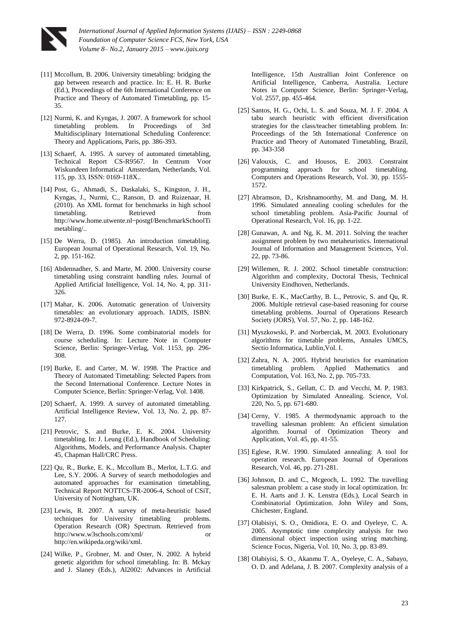

- [11] Mccollum, B. 2006. University timetabling: bridging the gap between research and practice. In: E. H. R. Burke (Ed.), Proceedings of the 6th International Conference on Practice and Theory of Automated Timetabling, pp. 15- 35.
- [12] Nurmi, K. and Kyngas, J. 2007. A framework for school timetabling problem. In Proceedings of 3rd Multidisciplinary International Scheduling Conference: Theory and Applications, Paris, pp. 386-393.
- [13] Schaerf, A. 1995. A survey of automated timetabling, Technical Report CS-R9567. In Centrum Voor Wiskundeen Informatical Amsterdam, Netherlands, Vol. 115, pp. 33, ISSN: 0169-118X..
- [14] Post, G., Ahmadi, S., Daskalaki, S., Kingston, J. H., Kyngas, J., Nurmi, C., Ranson, D. and Ruizenaar, H. (2010). An XML format for benchmarks in high school timetabling. Retrieved from http://www.home.utwente.nl~postgf/BenchmarkSchoolTi metabling/..
- [15] De Werra, D. (1985). An introduction timetabling. European Journal of Operational Research, Vol. 19, No. 2, pp. 151-162.
- [16] Abdennadher, S. and Marte, M. 2000. University course timetabling using constraint handling rules. Journal of Applied Artificial Intelligence, Vol. 14, No. 4, pp. 311- 326.
- [17] Mahar, K. 2006. Automatic generation of University timetables: an evolutionary approach. IADIS, ISBN: 972-8924-09-7.
- [18] De Werra, D. 1996. Some combinatorial models for course scheduling. In: Lecture Note in Computer Science, Berlin: Springer-Verlag, Vol. 1153, pp. 296- 308.
- [19] Burke, E. and Carter, M. W. 1998. The Practice and Theory of Automated Timetabling: Selected Papers from the Second International Conference. Lecture Notes in Computer Science, Berlin: Springer-Verlag, Vol. 1408.
- [20] Schaerf, A. 1999. A survey of automated timetabling. Artificial Intelligence Review, Vol. 13, No. 2, pp. 87- 127.
- [21] Petrovic, S. and Burke, E. K. 2004. University timetabling. In: J. Leung (Ed.), Handbook of Scheduling: Algorithms, Models, and Performance Analysis. Chapter 45, Chapman Hall/CRC Press.
- [22] Ou, R., Burke, E. K., Mccollum B., Merlot, L.T.G. and Lee, S.Y. 2006. A Survey of search methodologies and automated approaches for examination timetabling, Technical Report NOTTCS-TR-2006-4, School of CSiT, University of Nottingham, UK.
- [23] Lewis, R. 2007. A survey of meta-heuristic based techniques for University timetabling problems. Operation Research (OR) Spectrum. Retrieved from http://www.w3schools.com/xml/ http://en.wikipeda.org/wiki/xml.
- [24] Wilke, P., Grobner, M. and Oster, N. 2002. A hybrid genetic algorithm for school timetabling. In: B. Mckay and J. Slaney (Eds.), Al2002: Advances in Artificial

Intelligence, 15th Australlian Joint Conference on Artificial Intelligence, Canberra, Australia. Lecture Notes in Computer Science, Berlin: Springer-Verlag, Vol. 2557, pp. 455-464.

- [25] Santos, H. G., Ochi, L. S. and Souza, M. J. F. 2004. A tabu search heuristic with efficient diversification strategies for the class/teacher timetabling problem. In: Proceedings of the 5th International Conference on Practice and Theory of Automated Timetabling, Brazil, pp. 343-358
- [26] Valouxis, C. and Housos, E. 2003. Constraint programming approach for school timetabling. Computers and Operations Research, Vol. 30, pp. 1555- 1572.
- [27] Abramson, D., Krishnamoorthy, M. and Dang, M. H. 1996. Simulated annealing cooling schedules for the school timetabling problem. Asia-Pacific Journal of Operational Research, Vol. 16, pp. 1-22.
- [28] Gunawan, A. and Ng, K. M. 2011. Solving the teacher assignment problem by two metaheuristics. International Journal of Information and Management Sciences, Vol. 22, pp. 73-86.
- [29] Willemen, R. J. 2002. School timetable construction: Algorithm and complexity, Doctoral Thesis, Technical University Eindhoven, Netherlands.
- [30] Burke, E. K., MacCarthy, B. L., Petrovic, S. and Qu, R. 2006. Multiple retrieval case-based reasoning for course timetabling problems. Journal of Operations Research Society (JORS), Vol. 57, No. 2, pp. 148-162.
- [31] Myszkowski, P. and Norberciak, M. 2003. Evolutionary algorithms for timetable problems, Annales UMCS, Sectio Informatica, Lublin,Vol. I.
- [32] Zahra, N. A. 2005. Hybrid heuristics for examination timetabling problem. Applied Mathematics and Computation, Vol. 163, No. 2, pp. 705-733.
- [33] Kirkpatrick, S., Gellatt, C. D. and Vecchi, M. P. 1983. Optimization by Simulated Annealing. Science, Vol. 220, No. 5, pp. 671-680.
- [34] Cerny, V. 1985. A thermodynamic approach to the travelling salesman problem: An efficient simulation algorithm. Journal of Optimization Theory and Application, Vol. 45, pp. 41-55.
- [35] Eglese, R.W. 1990. Simulated annealing: A tool for operation research. European Journal of Operations Research, Vol. 46, pp. 271-281.
- [36] Johnson, D. and C., Mcgeoch, L. 1992. The travelling salesman problem: a case study in local optimization. In: E. H. Aarts and J. K. Lenstra (Eds.), Local Search in Combinatorial Optimization. John Wiley and Sons, Chichester, England.
- [37] Olabisiyi, S. O., Omidiora, E. O. and Oyeleye, C. A. 2005. Asymptotic time complexity analysis for two dimensional object inspection using string matching. Science Focus, Nigeria, Vol. 10, No. 3, pp. 83-89.
- [38] Olabiyisi, S. O., Akanmu T. A., Oyeleye, C. A., Sabayo, O. D. and Adelana, J. B. 2007. Complexity analysis of a